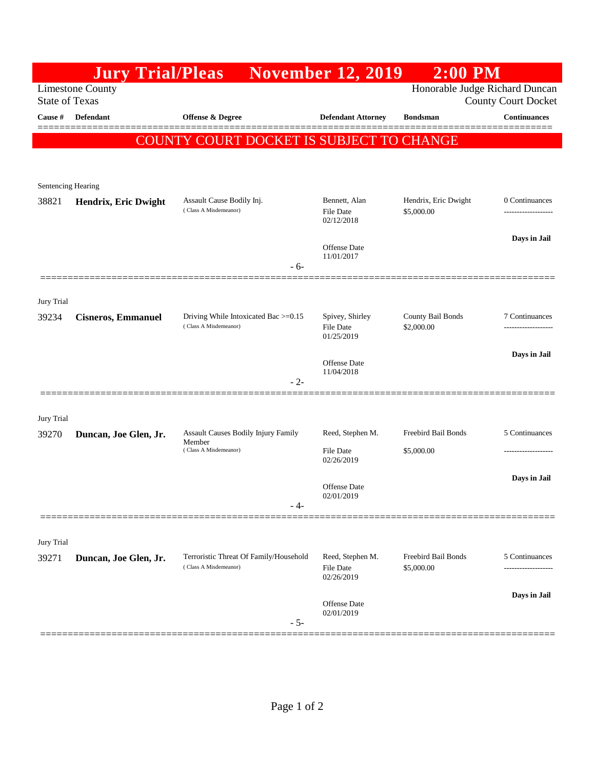|                                                                                                                  | <b>Jury Trial/Pleas</b>   |                                                               | <b>November 12, 2019</b>          | $2:00$ PM                       |                     |  |
|------------------------------------------------------------------------------------------------------------------|---------------------------|---------------------------------------------------------------|-----------------------------------|---------------------------------|---------------------|--|
| Honorable Judge Richard Duncan<br><b>Limestone County</b><br><b>State of Texas</b><br><b>County Court Docket</b> |                           |                                                               |                                   |                                 |                     |  |
| <b>Cause #</b>                                                                                                   | <b>Defendant</b>          | Offense $\&$ Degree                                           | <b>Defendant Attorney</b>         | <b>Bondsman</b>                 | <b>Continuances</b> |  |
|                                                                                                                  |                           | COUNTY COURT DOCKET IS SUBJECT TO CHANGE                      |                                   |                                 |                     |  |
|                                                                                                                  |                           |                                                               |                                   |                                 |                     |  |
|                                                                                                                  | Sentencing Hearing        |                                                               |                                   |                                 |                     |  |
| 38821                                                                                                            | Hendrix, Eric Dwight      | Assault Cause Bodily Inj.<br>(Class A Misdemeanor)            | Bennett, Alan                     | Hendrix, Eric Dwight            | 0 Continuances      |  |
|                                                                                                                  |                           |                                                               | <b>File Date</b><br>02/12/2018    | \$5,000.00                      |                     |  |
|                                                                                                                  |                           |                                                               | <b>Offense</b> Date               |                                 | Days in Jail        |  |
|                                                                                                                  |                           | - 6-                                                          | 11/01/2017                        |                                 |                     |  |
|                                                                                                                  |                           |                                                               |                                   |                                 |                     |  |
| Jury Trial                                                                                                       |                           |                                                               |                                   |                                 |                     |  |
| 39234                                                                                                            | <b>Cisneros, Emmanuel</b> | Driving While Intoxicated Bac >=0.15<br>(Class A Misdemeanor) | Spivey, Shirley<br>File Date      | County Bail Bonds<br>\$2,000.00 | 7 Continuances      |  |
|                                                                                                                  |                           |                                                               | 01/25/2019                        |                                 | Days in Jail        |  |
|                                                                                                                  |                           |                                                               | <b>Offense</b> Date<br>11/04/2018 |                                 |                     |  |
|                                                                                                                  |                           | $-2-$                                                         |                                   |                                 |                     |  |
|                                                                                                                  |                           |                                                               |                                   |                                 |                     |  |
| Jury Trial<br>39270                                                                                              | Duncan, Joe Glen, Jr.     | Assault Causes Bodily Injury Family                           | Reed, Stephen M.                  | Freebird Bail Bonds             | 5 Continuances      |  |
|                                                                                                                  |                           | Member<br>(Class A Misdemeanor)                               | <b>File Date</b><br>02/26/2019    | \$5,000.00                      |                     |  |
|                                                                                                                  |                           |                                                               |                                   |                                 | Days in Jail        |  |
|                                                                                                                  |                           |                                                               | <b>Offense</b> Date<br>02/01/2019 |                                 |                     |  |
|                                                                                                                  |                           | $-4-$                                                         |                                   |                                 |                     |  |
| Jury Trial                                                                                                       |                           |                                                               |                                   |                                 |                     |  |
| 39271                                                                                                            | Duncan, Joe Glen, Jr.     | Terroristic Threat Of Family/Household                        | Reed, Stephen M.                  | Freebird Bail Bonds             | 5 Continuances      |  |
|                                                                                                                  |                           | (Class A Misdemeanor)                                         | File Date<br>02/26/2019           | \$5,000.00                      | ------------------  |  |
|                                                                                                                  |                           |                                                               | Offense Date                      |                                 | Days in Jail        |  |
|                                                                                                                  |                           | $-5-$                                                         | 02/01/2019                        |                                 |                     |  |
|                                                                                                                  |                           |                                                               |                                   |                                 |                     |  |